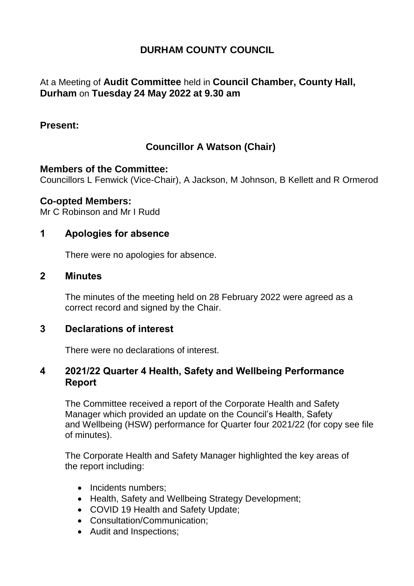# **DURHAM COUNTY COUNCIL**

## At a Meeting of **Audit Committee** held in **Council Chamber, County Hall, Durham** on **Tuesday 24 May 2022 at 9.30 am**

#### **Present:**

# **Councillor A Watson (Chair)**

#### **Members of the Committee:**

Councillors L Fenwick (Vice-Chair), A Jackson, M Johnson, B Kellett and R Ormerod

#### **Co-opted Members:**

Mr C Robinson and Mr I Rudd

## **1 Apologies for absence**

There were no apologies for absence.

#### **2 Minutes**

The minutes of the meeting held on 28 February 2022 were agreed as a correct record and signed by the Chair.

#### **3 Declarations of interest**

There were no declarations of interest.

#### **4 2021/22 Quarter 4 Health, Safety and Wellbeing Performance Report**

The Committee received a report of the Corporate Health and Safety Manager which provided an update on the Council's Health, Safety and Wellbeing (HSW) performance for Quarter four 2021/22 (for copy see file of minutes).

The Corporate Health and Safety Manager highlighted the key areas of the report including:

- Incidents numbers;
- Health, Safety and Wellbeing Strategy Development;
- COVID 19 Health and Safety Update;
- Consultation/Communication;
- Audit and Inspections;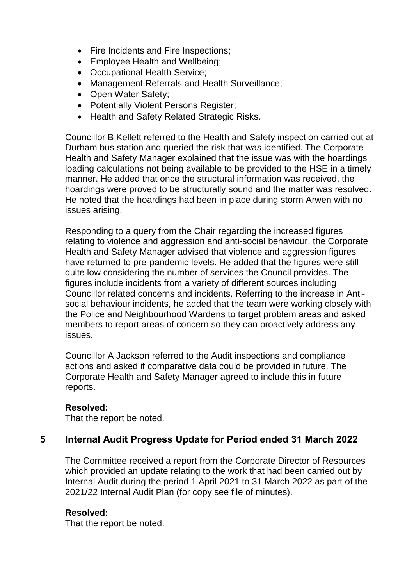- Fire Incidents and Fire Inspections;
- Employee Health and Wellbeing;
- Occupational Health Service;
- Management Referrals and Health Surveillance;
- Open Water Safety;
- Potentially Violent Persons Register;
- Health and Safety Related Strategic Risks.

Councillor B Kellett referred to the Health and Safety inspection carried out at Durham bus station and queried the risk that was identified. The Corporate Health and Safety Manager explained that the issue was with the hoardings loading calculations not being available to be provided to the HSE in a timely manner. He added that once the structural information was received, the hoardings were proved to be structurally sound and the matter was resolved. He noted that the hoardings had been in place during storm Arwen with no issues arising.

Responding to a query from the Chair regarding the increased figures relating to violence and aggression and anti-social behaviour, the Corporate Health and Safety Manager advised that violence and aggression figures have returned to pre-pandemic levels. He added that the figures were still quite low considering the number of services the Council provides. The figures include incidents from a variety of different sources including Councillor related concerns and incidents. Referring to the increase in Antisocial behaviour incidents, he added that the team were working closely with the Police and Neighbourhood Wardens to target problem areas and asked members to report areas of concern so they can proactively address any issues.

Councillor A Jackson referred to the Audit inspections and compliance actions and asked if comparative data could be provided in future. The Corporate Health and Safety Manager agreed to include this in future reports.

#### **Resolved:**

That the report be noted.

## **5 Internal Audit Progress Update for Period ended 31 March 2022**

The Committee received a report from the Corporate Director of Resources which provided an update relating to the work that had been carried out by Internal Audit during the period 1 April 2021 to 31 March 2022 as part of the 2021/22 Internal Audit Plan (for copy see file of minutes).

#### **Resolved:**

That the report be noted.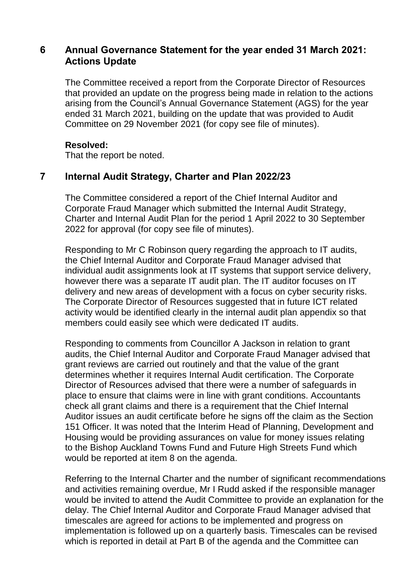## **6 Annual Governance Statement for the year ended 31 March 2021: Actions Update**

The Committee received a report from the Corporate Director of Resources that provided an update on the progress being made in relation to the actions arising from the Council's Annual Governance Statement (AGS) for the year ended 31 March 2021, building on the update that was provided to Audit Committee on 29 November 2021 (for copy see file of minutes).

#### **Resolved:**

That the report be noted.

## **7 Internal Audit Strategy, Charter and Plan 2022/23**

The Committee considered a report of the Chief Internal Auditor and Corporate Fraud Manager which submitted the Internal Audit Strategy, Charter and Internal Audit Plan for the period 1 April 2022 to 30 September 2022 for approval (for copy see file of minutes).

Responding to Mr C Robinson query regarding the approach to IT audits, the Chief Internal Auditor and Corporate Fraud Manager advised that individual audit assignments look at IT systems that support service delivery, however there was a separate IT audit plan. The IT auditor focuses on IT delivery and new areas of development with a focus on cyber security risks. The Corporate Director of Resources suggested that in future ICT related activity would be identified clearly in the internal audit plan appendix so that members could easily see which were dedicated IT audits.

Responding to comments from Councillor A Jackson in relation to grant audits, the Chief Internal Auditor and Corporate Fraud Manager advised that grant reviews are carried out routinely and that the value of the grant determines whether it requires Internal Audit certification. The Corporate Director of Resources advised that there were a number of safeguards in place to ensure that claims were in line with grant conditions. Accountants check all grant claims and there is a requirement that the Chief Internal Auditor issues an audit certificate before he signs off the claim as the Section 151 Officer. It was noted that the Interim Head of Planning, Development and Housing would be providing assurances on value for money issues relating to the Bishop Auckland Towns Fund and Future High Streets Fund which would be reported at item 8 on the agenda.

Referring to the Internal Charter and the number of significant recommendations and activities remaining overdue, Mr I Rudd asked if the responsible manager would be invited to attend the Audit Committee to provide an explanation for the delay. The Chief Internal Auditor and Corporate Fraud Manager advised that timescales are agreed for actions to be implemented and progress on implementation is followed up on a quarterly basis. Timescales can be revised which is reported in detail at Part B of the agenda and the Committee can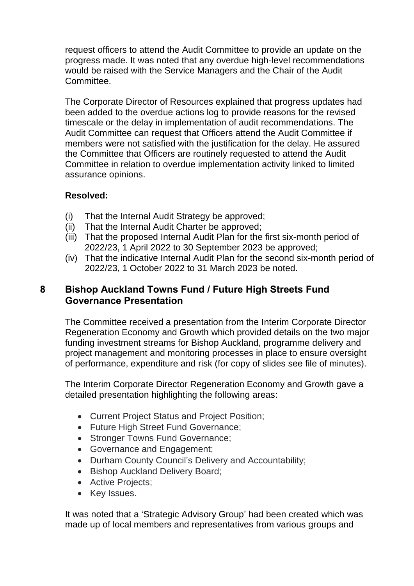request officers to attend the Audit Committee to provide an update on the progress made. It was noted that any overdue high-level recommendations would be raised with the Service Managers and the Chair of the Audit Committee.

The Corporate Director of Resources explained that progress updates had been added to the overdue actions log to provide reasons for the revised timescale or the delay in implementation of audit recommendations. The Audit Committee can request that Officers attend the Audit Committee if members were not satisfied with the justification for the delay. He assured the Committee that Officers are routinely requested to attend the Audit Committee in relation to overdue implementation activity linked to limited assurance opinions.

## **Resolved:**

- (i) That the Internal Audit Strategy be approved;
- (ii) That the Internal Audit Charter be approved:
- (iii) That the proposed Internal Audit Plan for the first six-month period of 2022/23, 1 April 2022 to 30 September 2023 be approved;
- (iv) That the indicative Internal Audit Plan for the second six-month period of 2022/23, 1 October 2022 to 31 March 2023 be noted.

## **8 Bishop Auckland Towns Fund / Future High Streets Fund Governance Presentation**

The Committee received a presentation from the Interim Corporate Director Regeneration Economy and Growth which provided details on the two major funding investment streams for Bishop Auckland, programme delivery and project management and monitoring processes in place to ensure oversight of performance, expenditure and risk (for copy of slides see file of minutes).

The Interim Corporate Director Regeneration Economy and Growth gave a detailed presentation highlighting the following areas:

- Current Project Status and Project Position;
- Future High Street Fund Governance;
- Stronger Towns Fund Governance;
- Governance and Engagement;
- Durham County Council's Delivery and Accountability;
- Bishop Auckland Delivery Board;
- Active Projects;
- Key Issues.

It was noted that a 'Strategic Advisory Group' had been created which was made up of local members and representatives from various groups and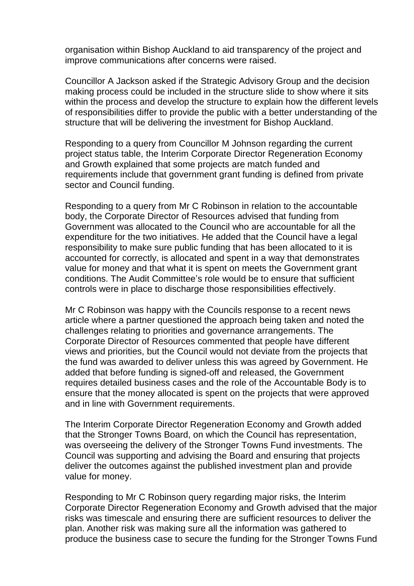organisation within Bishop Auckland to aid transparency of the project and improve communications after concerns were raised.

Councillor A Jackson asked if the Strategic Advisory Group and the decision making process could be included in the structure slide to show where it sits within the process and develop the structure to explain how the different levels of responsibilities differ to provide the public with a better understanding of the structure that will be delivering the investment for Bishop Auckland.

Responding to a query from Councillor M Johnson regarding the current project status table, the Interim Corporate Director Regeneration Economy and Growth explained that some projects are match funded and requirements include that government grant funding is defined from private sector and Council funding.

Responding to a query from Mr C Robinson in relation to the accountable body, the Corporate Director of Resources advised that funding from Government was allocated to the Council who are accountable for all the expenditure for the two initiatives. He added that the Council have a legal responsibility to make sure public funding that has been allocated to it is accounted for correctly, is allocated and spent in a way that demonstrates value for money and that what it is spent on meets the Government grant conditions. The Audit Committee's role would be to ensure that sufficient controls were in place to discharge those responsibilities effectively.

Mr C Robinson was happy with the Councils response to a recent news article where a partner questioned the approach being taken and noted the challenges relating to priorities and governance arrangements. The Corporate Director of Resources commented that people have different views and priorities, but the Council would not deviate from the projects that the fund was awarded to deliver unless this was agreed by Government. He added that before funding is signed-off and released, the Government requires detailed business cases and the role of the Accountable Body is to ensure that the money allocated is spent on the projects that were approved and in line with Government requirements.

The Interim Corporate Director Regeneration Economy and Growth added that the Stronger Towns Board, on which the Council has representation, was overseeing the delivery of the Stronger Towns Fund investments. The Council was supporting and advising the Board and ensuring that projects deliver the outcomes against the published investment plan and provide value for money.

Responding to Mr C Robinson query regarding major risks, the Interim Corporate Director Regeneration Economy and Growth advised that the major risks was timescale and ensuring there are sufficient resources to deliver the plan. Another risk was making sure all the information was gathered to produce the business case to secure the funding for the Stronger Towns Fund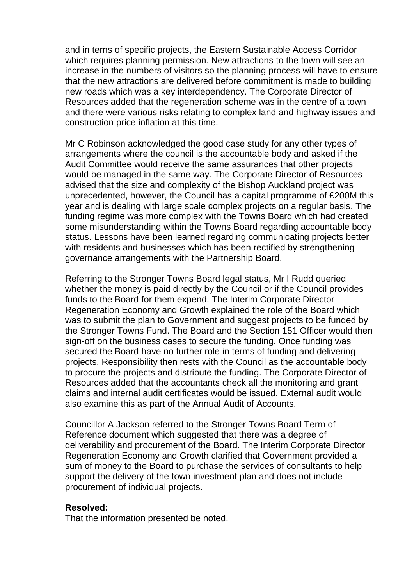and in terns of specific projects, the Eastern Sustainable Access Corridor which requires planning permission. New attractions to the town will see an increase in the numbers of visitors so the planning process will have to ensure that the new attractions are delivered before commitment is made to building new roads which was a key interdependency. The Corporate Director of Resources added that the regeneration scheme was in the centre of a town and there were various risks relating to complex land and highway issues and construction price inflation at this time.

Mr C Robinson acknowledged the good case study for any other types of arrangements where the council is the accountable body and asked if the Audit Committee would receive the same assurances that other projects would be managed in the same way. The Corporate Director of Resources advised that the size and complexity of the Bishop Auckland project was unprecedented, however, the Council has a capital programme of £200M this year and is dealing with large scale complex projects on a regular basis. The funding regime was more complex with the Towns Board which had created some misunderstanding within the Towns Board regarding accountable body status. Lessons have been learned regarding communicating projects better with residents and businesses which has been rectified by strengthening governance arrangements with the Partnership Board.

Referring to the Stronger Towns Board legal status, Mr I Rudd queried whether the money is paid directly by the Council or if the Council provides funds to the Board for them expend. The Interim Corporate Director Regeneration Economy and Growth explained the role of the Board which was to submit the plan to Government and suggest projects to be funded by the Stronger Towns Fund. The Board and the Section 151 Officer would then sign-off on the business cases to secure the funding. Once funding was secured the Board have no further role in terms of funding and delivering projects. Responsibility then rests with the Council as the accountable body to procure the projects and distribute the funding. The Corporate Director of Resources added that the accountants check all the monitoring and grant claims and internal audit certificates would be issued. External audit would also examine this as part of the Annual Audit of Accounts.

Councillor A Jackson referred to the Stronger Towns Board Term of Reference document which suggested that there was a degree of deliverability and procurement of the Board. The Interim Corporate Director Regeneration Economy and Growth clarified that Government provided a sum of money to the Board to purchase the services of consultants to help support the delivery of the town investment plan and does not include procurement of individual projects.

#### **Resolved:**

That the information presented be noted.